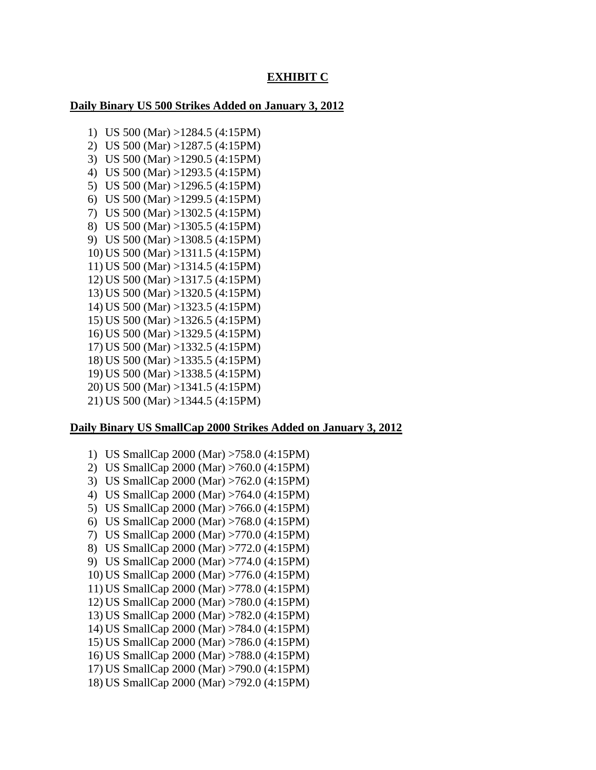# **EXHIBIT C**

# **Daily Binary US 500 Strikes Added on January 3, 2012**

1) US 500 (Mar) >1284.5 (4:15PM) 2) US 500 (Mar) >1287.5 (4:15PM) 3) US 500 (Mar) >1290.5 (4:15PM) 4) US 500 (Mar) >1293.5 (4:15PM) 5) US 500 (Mar) >1296.5 (4:15PM) 6) US 500 (Mar) >1299.5 (4:15PM) 7) US 500 (Mar) >1302.5 (4:15PM) 8) US 500 (Mar) >1305.5 (4:15PM) 9) US 500 (Mar) >1308.5 (4:15PM) 10) US 500 (Mar) >1311.5 (4:15PM) 11) US 500 (Mar) >1314.5 (4:15PM) 12) US 500 (Mar) >1317.5 (4:15PM) 13) US 500 (Mar) >1320.5 (4:15PM) 14) US 500 (Mar) >1323.5 (4:15PM) 15) US 500 (Mar) >1326.5 (4:15PM) 16) US 500 (Mar) >1329.5 (4:15PM) 17) US 500 (Mar) >1332.5 (4:15PM) 18) US 500 (Mar) >1335.5 (4:15PM) 19) US 500 (Mar) >1338.5 (4:15PM) 20) US 500 (Mar) >1341.5 (4:15PM) 21) US 500 (Mar) >1344.5 (4:15PM)

# **Daily Binary US SmallCap 2000 Strikes Added on January 3, 2012**

1) US SmallCap 2000 (Mar) >758.0 (4:15PM) 2) US SmallCap 2000 (Mar) >760.0 (4:15PM) 3) US SmallCap 2000 (Mar) >762.0 (4:15PM) 4) US SmallCap 2000 (Mar) >764.0 (4:15PM) 5) US SmallCap 2000 (Mar) >766.0 (4:15PM) 6) US SmallCap 2000 (Mar) >768.0 (4:15PM) 7) US SmallCap 2000 (Mar) >770.0 (4:15PM) 8) US SmallCap 2000 (Mar) >772.0 (4:15PM) 9) US SmallCap 2000 (Mar) >774.0 (4:15PM) 10) US SmallCap 2000 (Mar) >776.0 (4:15PM) 11) US SmallCap 2000 (Mar) >778.0 (4:15PM) 12) US SmallCap 2000 (Mar) >780.0 (4:15PM) 13) US SmallCap 2000 (Mar) >782.0 (4:15PM) 14) US SmallCap 2000 (Mar) >784.0 (4:15PM) 15) US SmallCap 2000 (Mar) >786.0 (4:15PM) 16) US SmallCap 2000 (Mar) >788.0 (4:15PM) 17) US SmallCap 2000 (Mar) >790.0 (4:15PM) 18) US SmallCap 2000 (Mar) >792.0 (4:15PM)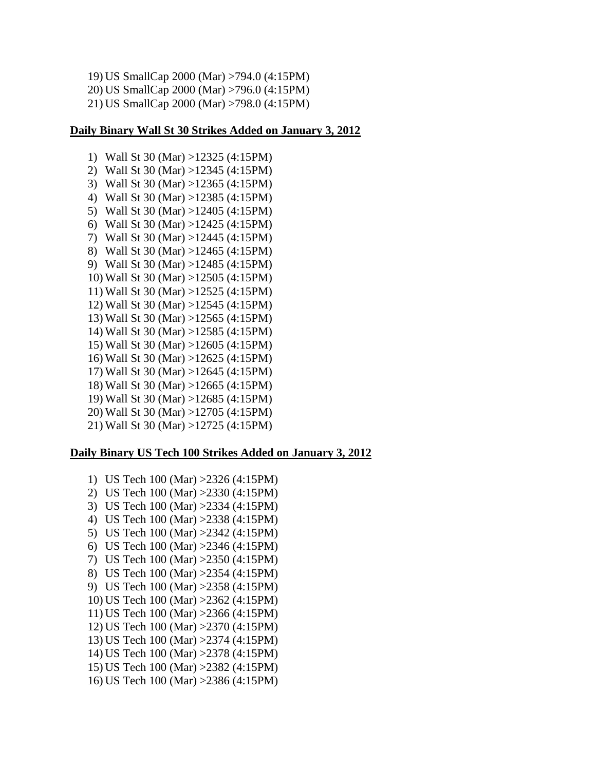19) US SmallCap 2000 (Mar) >794.0 (4:15PM) 20) US SmallCap 2000 (Mar) >796.0 (4:15PM) 21) US SmallCap 2000 (Mar) >798.0 (4:15PM)

### **Daily Binary Wall St 30 Strikes Added on January 3, 2012**

1) Wall St 30 (Mar) >12325 (4:15PM) 2) Wall St 30 (Mar) >12345 (4:15PM) 3) Wall St 30 (Mar) >12365 (4:15PM) 4) Wall St 30 (Mar) >12385 (4:15PM) 5) Wall St 30 (Mar) >12405 (4:15PM) 6) Wall St 30 (Mar) >12425 (4:15PM) 7) Wall St 30 (Mar) >12445 (4:15PM) 8) Wall St 30 (Mar) >12465 (4:15PM) 9) Wall St 30 (Mar) >12485 (4:15PM) 10) Wall St 30 (Mar) >12505 (4:15PM) 11) Wall St 30 (Mar) >12525 (4:15PM) 12) Wall St 30 (Mar) >12545 (4:15PM) 13) Wall St 30 (Mar) >12565 (4:15PM) 14) Wall St 30 (Mar) >12585 (4:15PM) 15) Wall St 30 (Mar) >12605 (4:15PM) 16) Wall St 30 (Mar) >12625 (4:15PM) 17) Wall St 30 (Mar) >12645 (4:15PM) 18) Wall St 30 (Mar) >12665 (4:15PM) 19) Wall St 30 (Mar) >12685 (4:15PM) 20) Wall St 30 (Mar) >12705 (4:15PM) 21) Wall St 30 (Mar) >12725 (4:15PM)

## **Daily Binary US Tech 100 Strikes Added on January 3, 2012**

1) US Tech 100 (Mar) >2326 (4:15PM) 2) US Tech 100 (Mar) >2330 (4:15PM) 3) US Tech 100 (Mar) >2334 (4:15PM) 4) US Tech 100 (Mar) >2338 (4:15PM) 5) US Tech 100 (Mar) >2342 (4:15PM) 6) US Tech 100 (Mar) >2346 (4:15PM) 7) US Tech 100 (Mar) >2350 (4:15PM) 8) US Tech 100 (Mar) >2354 (4:15PM) 9) US Tech 100 (Mar) >2358 (4:15PM) 10) US Tech 100 (Mar) >2362 (4:15PM) 11) US Tech 100 (Mar) >2366 (4:15PM) 12) US Tech 100 (Mar) >2370 (4:15PM) 13) US Tech 100 (Mar) >2374 (4:15PM) 14) US Tech 100 (Mar) >2378 (4:15PM) 15) US Tech 100 (Mar) >2382 (4:15PM) 16) US Tech 100 (Mar) >2386 (4:15PM)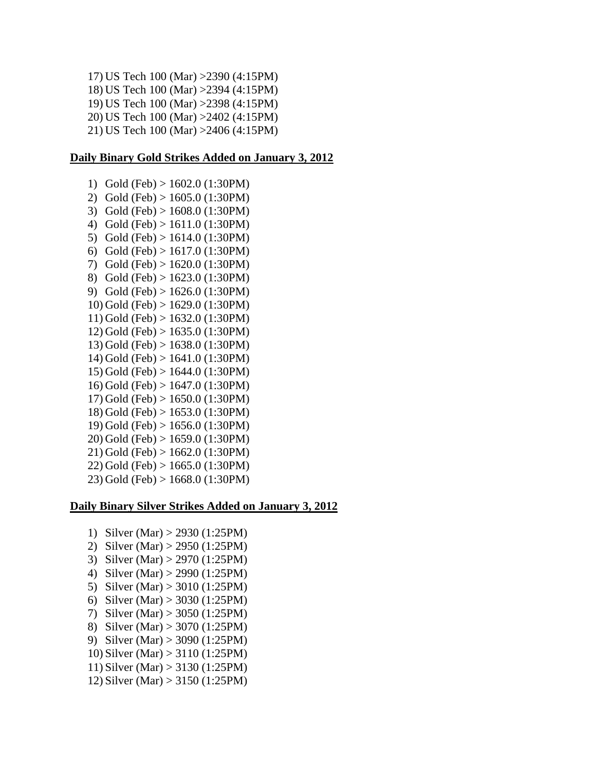17) US Tech 100 (Mar) >2390 (4:15PM) 18) US Tech 100 (Mar) >2394 (4:15PM) 19) US Tech 100 (Mar) >2398 (4:15PM) 20) US Tech 100 (Mar) >2402 (4:15PM) 21) US Tech 100 (Mar) >2406 (4:15PM)

## **Daily Binary Gold Strikes Added on January 3, 2012**

1) Gold (Feb) > 1602.0 (1:30PM) 2) Gold (Feb) > 1605.0 (1:30PM) 3) Gold (Feb) > 1608.0 (1:30PM) 4) Gold (Feb) > 1611.0 (1:30PM) 5) Gold (Feb) > 1614.0 (1:30PM) 6) Gold (Feb) > 1617.0 (1:30PM) 7) Gold (Feb) > 1620.0 (1:30PM) 8) Gold (Feb) > 1623.0 (1:30PM) 9) Gold (Feb) > 1626.0 (1:30PM) 10) Gold (Feb) > 1629.0 (1:30PM) 11) Gold (Feb) > 1632.0 (1:30PM) 12) Gold (Feb) > 1635.0 (1:30PM) 13) Gold (Feb) > 1638.0 (1:30PM) 14) Gold (Feb) > 1641.0 (1:30PM) 15) Gold (Feb) > 1644.0 (1:30PM) 16) Gold (Feb) > 1647.0 (1:30PM) 17) Gold (Feb) > 1650.0 (1:30PM) 18) Gold (Feb) > 1653.0 (1:30PM) 19) Gold (Feb) > 1656.0 (1:30PM) 20) Gold (Feb) > 1659.0 (1:30PM) 21) Gold (Feb) > 1662.0 (1:30PM) 22) Gold (Feb) > 1665.0 (1:30PM) 23) Gold (Feb) > 1668.0 (1:30PM)

#### **Daily Binary Silver Strikes Added on January 3, 2012**

- 1) Silver (Mar) > 2930 (1:25PM)
- 2) Silver (Mar) > 2950 (1:25PM)
- 3) Silver (Mar) > 2970 (1:25PM)
- 4) Silver (Mar) > 2990 (1:25PM)
- 5) Silver (Mar) > 3010 (1:25PM)
- 6) Silver (Mar) > 3030 (1:25PM)
- 7) Silver (Mar) > 3050 (1:25PM)
- 8) Silver (Mar) > 3070 (1:25PM)
- 9) Silver (Mar) > 3090 (1:25PM)
- 10) Silver (Mar) > 3110 (1:25PM)
- 11) Silver (Mar) > 3130 (1:25PM)
- 
- 12) Silver (Mar) > 3150 (1:25PM)